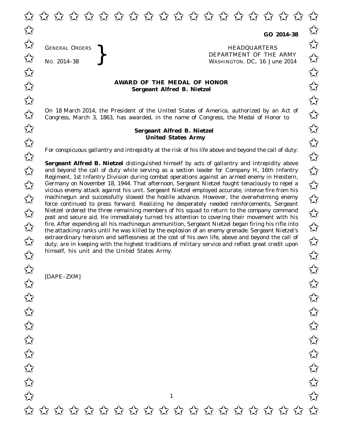GENERAL ORDERS

GENERAL ORDERS **}**<br>No. 2014–38 **}**<br>No. 2014–38 **}**<br>Repartment of the WASHINGTON, DC, 16 Jul No. 2014-38<br>No. 2014-38<br>No. 2014-38<br>No. 2014-38 WASHINGTON, DC, *16 June 2014*

## **AWARD OF THE MEDAL OF HONOR**<br>
Sergeant Alfred B. Nietzel **Sergeant Alfred B. Nietzel**

On 18 March 2014, the President of the United States of America, authorized by an Act of  $\overline{\mathcal{M}}$  Congress. March 3, 1863, has awarded, in the name of Congress, the Medal of Honor to  $\overline{\mathcal{M}}$ Congress, March 3, 1863, has awarded, in the name of Congress, the Medal of Honor to

## **Sergeant Alfred B. Nietzel** ✩ ✩ **United States Army** United States Army

For conspicuous gallantry and intrepidity at the risk of his life above and beyond the call of duty:<br>  $\overrightarrow{\lambda}$ 

**Sergeant Alfred B. Nietzel** distinguished himself by acts of gallantry and intrepidity above **Sergeant Altred B. Nietzel** distinguished himself by acts of gallantry and intrepidity above<br>and beyond the call of duty while serving as a section leader for Company H, 16th Infantry Regiment, 1st Infantry Division during combat operations against an armed enemy in Heistern, Example 18, 1944. That afternoon, Sergeant Nietzel fought tenaciously to repel a<br>
Sermany on November 18, 1944. That afternoon, Sergeant Nietzel fought tenaciously to repel a<br>
Services convented a spiral big with Services vicious enemy attack against his unit. Sergeant Nietzel employed accurate, intense fire from his whous enemy attack against ins unit. Sergeant ivietzer employed acturate, intense ine from ins<br>
machinegun and successfully slowed the hostile advance. However, the overwhelming enemy force continued to press forward. Realizing he desperately needed reinforcements, Sergeant  $\overline{\mathcal{A}}$  Nietzel ordered the three remaining members of his squad to return to the company command  $\overline{\mathcal{A}}$  nost and secure aid. He immediately turned his attention to covering their movement with his post and secure aid. He immediately turned his attention to covering their movement with his  $\overline{\mathcal{A}}$  fire. After expending all his machinegun ammunition, Sergeant Nietzel began firing his rifle into<br>The attacking ranks until he was killed by the explosion of an enemy grenade. Sergeant Nietzel's the attacking ranks until he was killed by the explosion of an enemy grenade. Sergeant Nietzel's extraordinary heroism and selflessness at the cost of his own life, above and beyond the call of duty, are in keeping with the highest traditions of military service and reflect great credit upon duty, are in keeping with the highest traditions of military service and reflect great credit upon himself, his unit and the United States Army.

[DAPE–ZXM]

1